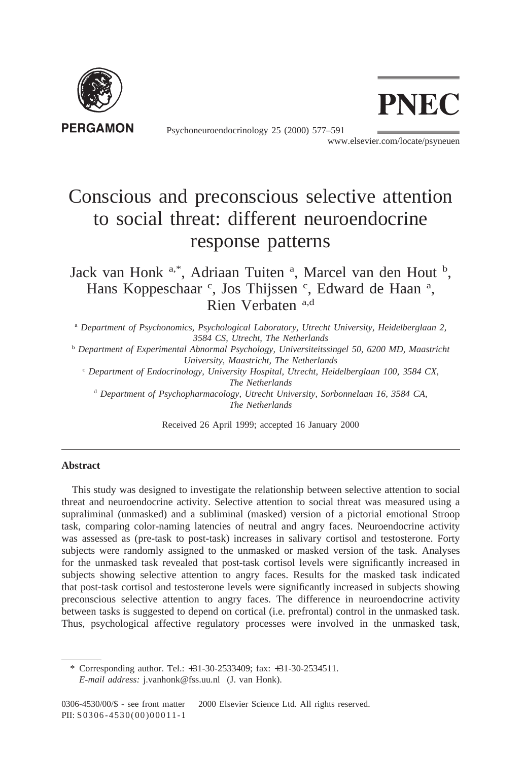

Psychoneuroendocrinology 25 (2000) 577–591



www.elsevier.com/locate/psyneuen

## Conscious and preconscious selective attention to social threat: different neuroendocrine response patterns

Jack van Honk a,\*, Adriaan Tuiten <sup>a</sup>, Marcel van den Hout <sup>b</sup>, Hans Koppeschaar<sup>c</sup>, Jos Thijssen<sup>c</sup>, Edward de Haan<sup>a</sup>, Rien Verbaten a,d

<sup>a</sup> *Department of Psychonomics, Psychological Laboratory, Utrecht University, Heidelberglaan 2, 3584 CS, Utrecht, The Netherlands*

<sup>b</sup> *Department of Experimental Abnormal Psychology, Universiteitssingel 50, 6200 MD, Maastricht University, Maastricht, The Netherlands*

<sup>c</sup> *Department of Endocrinology, University Hospital, Utrecht, Heidelberglaan 100, 3584 CX, The Netherlands*

<sup>d</sup> *Department of Psychopharmacology, Utrecht University, Sorbonnelaan 16, 3584 CA, The Netherlands*

Received 26 April 1999; accepted 16 January 2000

## **Abstract**

This study was designed to investigate the relationship between selective attention to social threat and neuroendocrine activity. Selective attention to social threat was measured using a supraliminal (unmasked) and a subliminal (masked) version of a pictorial emotional Stroop task, comparing color-naming latencies of neutral and angry faces. Neuroendocrine activity was assessed as (pre-task to post-task) increases in salivary cortisol and testosterone. Forty subjects were randomly assigned to the unmasked or masked version of the task. Analyses for the unmasked task revealed that post-task cortisol levels were significantly increased in subjects showing selective attention to angry faces. Results for the masked task indicated that post-task cortisol and testosterone levels were significantly increased in subjects showing preconscious selective attention to angry faces. The difference in neuroendocrine activity between tasks is suggested to depend on cortical (i.e. prefrontal) control in the unmasked task. Thus, psychological affective regulatory processes were involved in the unmasked task,

<sup>\*</sup> Corresponding author. Tel.: +31-30-2533409; fax: +31-30-2534511. *E-mail address:* j.vanhonk@fss.uu.nl (J. van Honk).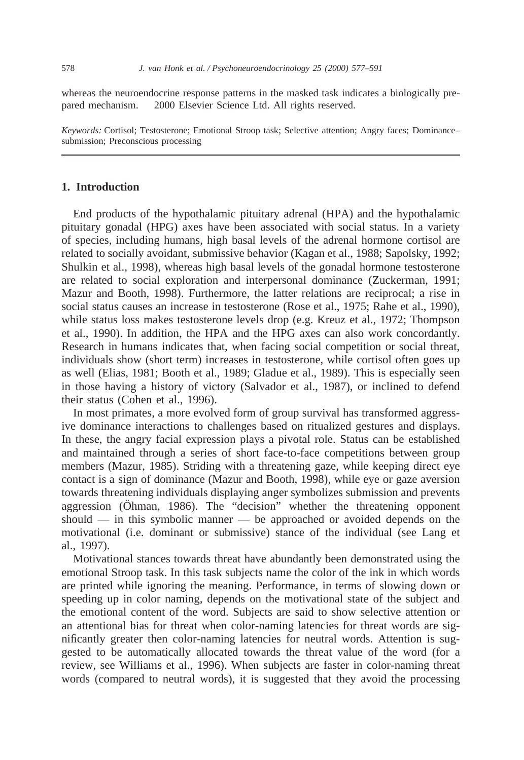whereas the neuroendocrine response patterns in the masked task indicates a biologically prepared mechanism.  $© 2000$  Elsevier Science Ltd. All rights reserved.

*Keywords:* Cortisol; Testosterone; Emotional Stroop task; Selective attention; Angry faces; Dominance– submission; Preconscious processing

## **1. Introduction**

End products of the hypothalamic pituitary adrenal (HPA) and the hypothalamic pituitary gonadal (HPG) axes have been associated with social status. In a variety of species, including humans, high basal levels of the adrenal hormone cortisol are related to socially avoidant, submissive behavior (Kagan et al., 1988; Sapolsky, 1992; Shulkin et al., 1998), whereas high basal levels of the gonadal hormone testosterone are related to social exploration and interpersonal dominance (Zuckerman, 1991; Mazur and Booth, 1998). Furthermore, the latter relations are reciprocal; a rise in social status causes an increase in testosterone (Rose et al., 1975; Rahe et al., 1990), while status loss makes testosterone levels drop (e.g. Kreuz et al., 1972; Thompson et al., 1990). In addition, the HPA and the HPG axes can also work concordantly. Research in humans indicates that, when facing social competition or social threat, individuals show (short term) increases in testosterone, while cortisol often goes up as well (Elias, 1981; Booth et al., 1989; Gladue et al., 1989). This is especially seen in those having a history of victory (Salvador et al., 1987), or inclined to defend their status (Cohen et al., 1996).

In most primates, a more evolved form of group survival has transformed aggressive dominance interactions to challenges based on ritualized gestures and displays. In these, the angry facial expression plays a pivotal role. Status can be established and maintained through a series of short face-to-face competitions between group members (Mazur, 1985). Striding with a threatening gaze, while keeping direct eye contact is a sign of dominance (Mazur and Booth, 1998), while eye or gaze aversion towards threatening individuals displaying anger symbolizes submission and prevents aggression (Öhman, 1986). The "decision" whether the threatening opponent should — in this symbolic manner — be approached or avoided depends on the motivational (i.e. dominant or submissive) stance of the individual (see Lang et al., 1997).

Motivational stances towards threat have abundantly been demonstrated using the emotional Stroop task. In this task subjects name the color of the ink in which words are printed while ignoring the meaning. Performance, in terms of slowing down or speeding up in color naming, depends on the motivational state of the subject and the emotional content of the word. Subjects are said to show selective attention or an attentional bias for threat when color-naming latencies for threat words are significantly greater then color-naming latencies for neutral words. Attention is suggested to be automatically allocated towards the threat value of the word (for a review, see Williams et al., 1996). When subjects are faster in color-naming threat words (compared to neutral words), it is suggested that they avoid the processing